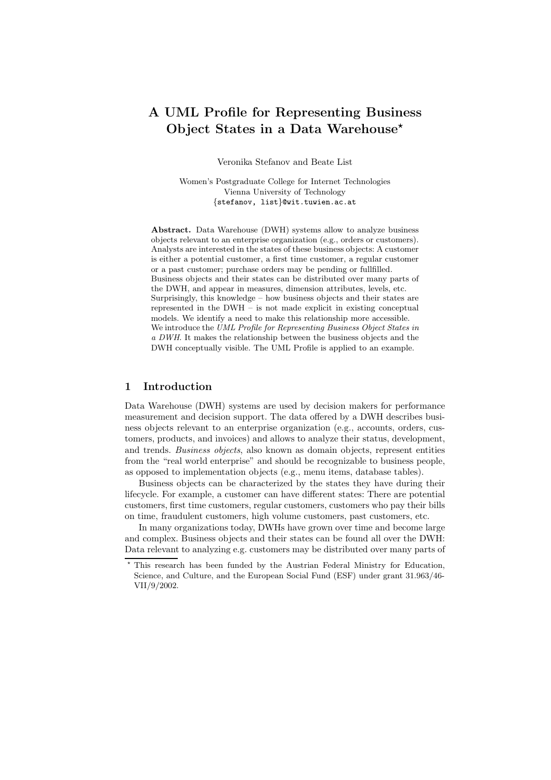# A UML Profile for Representing Business Object States in a Data Warehouse<sup>\*</sup>

Veronika Stefanov and Beate List

Women's Postgraduate College for Internet Technologies Vienna University of Technology {stefanov, list}@wit.tuwien.ac.at

Abstract. Data Warehouse (DWH) systems allow to analyze business objects relevant to an enterprise organization (e.g., orders or customers). Analysts are interested in the states of these business objects: A customer is either a potential customer, a first time customer, a regular customer or a past customer; purchase orders may be pending or fullfilled. Business objects and their states can be distributed over many parts of the DWH, and appear in measures, dimension attributes, levels, etc. Surprisingly, this knowledge – how business objects and their states are represented in the DWH – is not made explicit in existing conceptual models. We identify a need to make this relationship more accessible. We introduce the UML Profile for Representing Business Object States in a DWH. It makes the relationship between the business objects and the DWH conceptually visible. The UML Profile is applied to an example.

### 1 Introduction

Data Warehouse (DWH) systems are used by decision makers for performance measurement and decision support. The data offered by a DWH describes business objects relevant to an enterprise organization (e.g., accounts, orders, customers, products, and invoices) and allows to analyze their status, development, and trends. Business objects, also known as domain objects, represent entities from the "real world enterprise" and should be recognizable to business people, as opposed to implementation objects (e.g., menu items, database tables).

Business objects can be characterized by the states they have during their lifecycle. For example, a customer can have different states: There are potential customers, first time customers, regular customers, customers who pay their bills on time, fraudulent customers, high volume customers, past customers, etc.

In many organizations today, DWHs have grown over time and become large and complex. Business objects and their states can be found all over the DWH: Data relevant to analyzing e.g. customers may be distributed over many parts of

<sup>⋆</sup> This research has been funded by the Austrian Federal Ministry for Education, Science, and Culture, and the European Social Fund (ESF) under grant 31.963/46- VII/9/2002.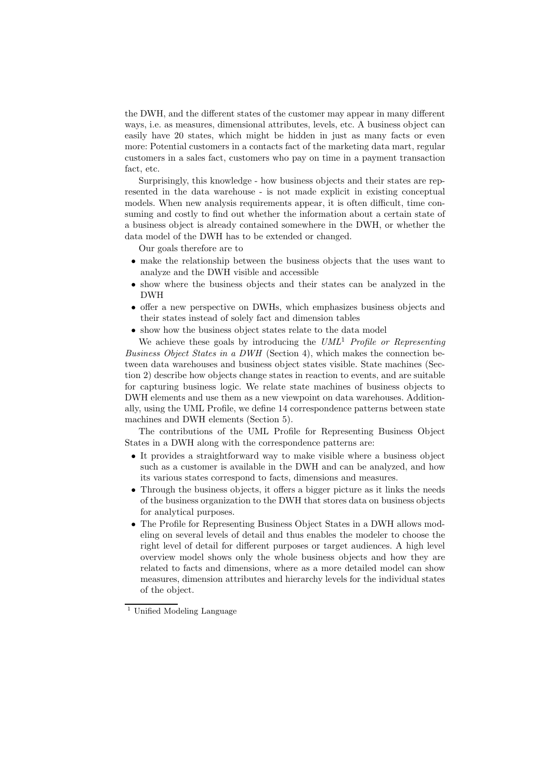the DWH, and the different states of the customer may appear in many different ways, i.e. as measures, dimensional attributes, levels, etc. A business object can easily have 20 states, which might be hidden in just as many facts or even more: Potential customers in a contacts fact of the marketing data mart, regular customers in a sales fact, customers who pay on time in a payment transaction fact, etc.

Surprisingly, this knowledge - how business objects and their states are represented in the data warehouse - is not made explicit in existing conceptual models. When new analysis requirements appear, it is often difficult, time consuming and costly to find out whether the information about a certain state of a business object is already contained somewhere in the DWH, or whether the data model of the DWH has to be extended or changed.

Our goals therefore are to

- make the relationship between the business objects that the uses want to analyze and the DWH visible and accessible
- show where the business objects and their states can be analyzed in the DWH
- offer a new perspective on DWHs, which emphasizes business objects and their states instead of solely fact and dimension tables
- show how the business object states relate to the data model

We achieve these goals by introducing the  $UML<sup>1</sup>$  Profile or Representing Business Object States in a DWH (Section 4), which makes the connection between data warehouses and business object states visible. State machines (Section 2) describe how objects change states in reaction to events, and are suitable for capturing business logic. We relate state machines of business objects to DWH elements and use them as a new viewpoint on data warehouses. Additionally, using the UML Profile, we define 14 correspondence patterns between state machines and DWH elements (Section 5).

The contributions of the UML Profile for Representing Business Object States in a DWH along with the correspondence patterns are:

- It provides a straightforward way to make visible where a business object such as a customer is available in the DWH and can be analyzed, and how its various states correspond to facts, dimensions and measures.
- Through the business objects, it offers a bigger picture as it links the needs of the business organization to the DWH that stores data on business objects for analytical purposes.
- The Profile for Representing Business Object States in a DWH allows modeling on several levels of detail and thus enables the modeler to choose the right level of detail for different purposes or target audiences. A high level overview model shows only the whole business objects and how they are related to facts and dimensions, where as a more detailed model can show measures, dimension attributes and hierarchy levels for the individual states of the object.

<sup>1</sup> Unified Modeling Language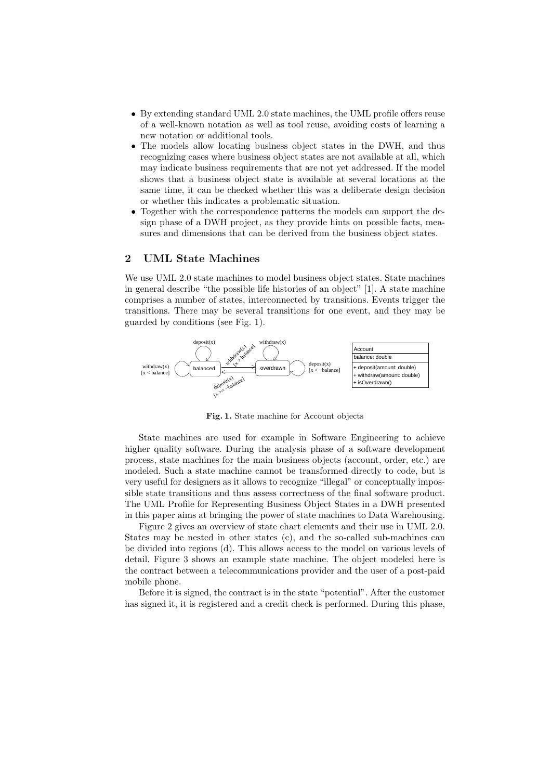- By extending standard UML 2.0 state machines, the UML profile offers reuse of a well-known notation as well as tool reuse, avoiding costs of learning a new notation or additional tools.
- The models allow locating business object states in the DWH, and thus recognizing cases where business object states are not available at all, which may indicate business requirements that are not yet addressed. If the model shows that a business object state is available at several locations at the same time, it can be checked whether this was a deliberate design decision or whether this indicates a problematic situation.
- Together with the correspondence patterns the models can support the design phase of a DWH project, as they provide hints on possible facts, measures and dimensions that can be derived from the business object states.

# 2 UML State Machines

We use UML 2.0 state machines to model business object states. State machines in general describe "the possible life histories of an object" [1]. A state machine comprises a number of states, interconnected by transitions. Events trigger the transitions. There may be several transitions for one event, and they may be guarded by conditions (see Fig. 1).



Fig. 1. State machine for Account objects

State machines are used for example in Software Engineering to achieve higher quality software. During the analysis phase of a software development process, state machines for the main business objects (account, order, etc.) are modeled. Such a state machine cannot be transformed directly to code, but is very useful for designers as it allows to recognize "illegal" or conceptually impossible state transitions and thus assess correctness of the final software product. The UML Profile for Representing Business Object States in a DWH presented in this paper aims at bringing the power of state machines to Data Warehousing.

Figure 2 gives an overview of state chart elements and their use in UML 2.0. States may be nested in other states (c), and the so-called sub-machines can be divided into regions (d). This allows access to the model on various levels of detail. Figure 3 shows an example state machine. The object modeled here is the contract between a telecommunications provider and the user of a post-paid mobile phone.

Before it is signed, the contract is in the state "potential". After the customer has signed it, it is registered and a credit check is performed. During this phase,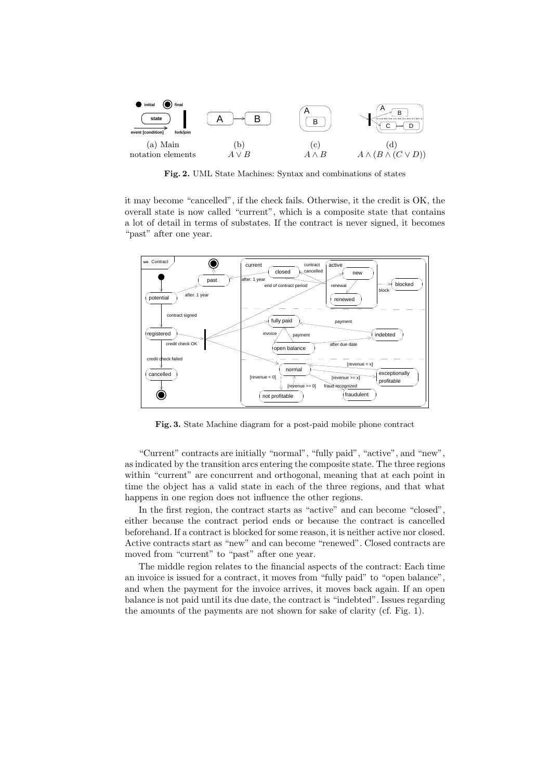

Fig. 2. UML State Machines: Syntax and combinations of states

it may become "cancelled", if the check fails. Otherwise, it the credit is OK, the overall state is now called "current", which is a composite state that contains a lot of detail in terms of substates. If the contract is never signed, it becomes "past" after one year.



Fig. 3. State Machine diagram for a post-paid mobile phone contract

"Current" contracts are initially "normal", "fully paid", "active", and "new", as indicated by the transition arcs entering the composite state. The three regions within "current" are concurrent and orthogonal, meaning that at each point in time the object has a valid state in each of the three regions, and that what happens in one region does not influence the other regions.

In the first region, the contract starts as "active" and can become "closed", either because the contract period ends or because the contract is cancelled beforehand. If a contract is blocked for some reason, it is neither active nor closed. Active contracts start as "new" and can become "renewed". Closed contracts are moved from "current" to "past" after one year.

The middle region relates to the financial aspects of the contract: Each time an invoice is issued for a contract, it moves from "fully paid" to "open balance", and when the payment for the invoice arrives, it moves back again. If an open balance is not paid until its due date, the contract is "indebted". Issues regarding the amounts of the payments are not shown for sake of clarity (cf. Fig. 1).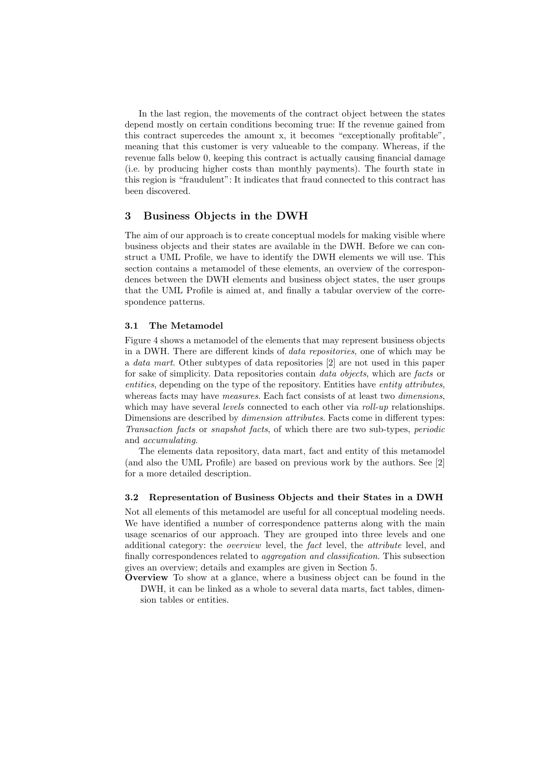In the last region, the movements of the contract object between the states depend mostly on certain conditions becoming true: If the revenue gained from this contract supercedes the amount x, it becomes "exceptionally profitable", meaning that this customer is very valueable to the company. Whereas, if the revenue falls below 0, keeping this contract is actually causing financial damage (i.e. by producing higher costs than monthly payments). The fourth state in this region is "fraudulent": It indicates that fraud connected to this contract has been discovered.

# 3 Business Objects in the DWH

The aim of our approach is to create conceptual models for making visible where business objects and their states are available in the DWH. Before we can construct a UML Profile, we have to identify the DWH elements we will use. This section contains a metamodel of these elements, an overview of the correspondences between the DWH elements and business object states, the user groups that the UML Profile is aimed at, and finally a tabular overview of the correspondence patterns.

### 3.1 The Metamodel

Figure 4 shows a metamodel of the elements that may represent business objects in a DWH. There are different kinds of data repositories, one of which may be a data mart. Other subtypes of data repositories [2] are not used in this paper for sake of simplicity. Data repositories contain data objects, which are facts or entities, depending on the type of the repository. Entities have entity attributes, whereas facts may have *measures*. Each fact consists of at least two *dimensions*, which may have several *levels* connected to each other via *roll-up* relationships. Dimensions are described by *dimension attributes*. Facts come in different types: Transaction facts or snapshot facts, of which there are two sub-types, periodic and accumulating.

The elements data repository, data mart, fact and entity of this metamodel (and also the UML Profile) are based on previous work by the authors. See [2] for a more detailed description.

### 3.2 Representation of Business Objects and their States in a DWH

Not all elements of this metamodel are useful for all conceptual modeling needs. We have identified a number of correspondence patterns along with the main usage scenarios of our approach. They are grouped into three levels and one additional category: the *overview* level, the *fact* level, the *attribute* level, and finally correspondences related to *aggregation and classification*. This subsection gives an overview; details and examples are given in Section 5.

Overview To show at a glance, where a business object can be found in the DWH, it can be linked as a whole to several data marts, fact tables, dimension tables or entities.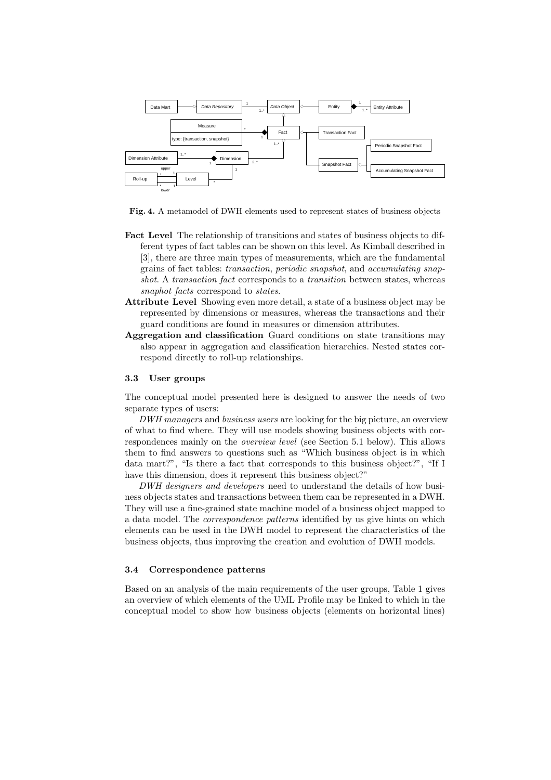

Fig. 4. A metamodel of DWH elements used to represent states of business objects

- Fact Level The relationship of transitions and states of business objects to different types of fact tables can be shown on this level. As Kimball described in [3], there are three main types of measurements, which are the fundamental grains of fact tables: transaction, periodic snapshot, and accumulating snapshot. A transaction fact corresponds to a transition between states, whereas snaphot facts correspond to *states*.
- Attribute Level Showing even more detail, a state of a business object may be represented by dimensions or measures, whereas the transactions and their guard conditions are found in measures or dimension attributes.
- Aggregation and classification Guard conditions on state transitions may also appear in aggregation and classification hierarchies. Nested states correspond directly to roll-up relationships.

### 3.3 User groups

The conceptual model presented here is designed to answer the needs of two separate types of users:

DWH managers and business users are looking for the big picture, an overview of what to find where. They will use models showing business objects with correspondences mainly on the overview level (see Section 5.1 below). This allows them to find answers to questions such as "Which business object is in which data mart?", "Is there a fact that corresponds to this business object?", "If I have this dimension, does it represent this business object?"

DWH designers and developers need to understand the details of how business objects states and transactions between them can be represented in a DWH. They will use a fine-grained state machine model of a business object mapped to a data model. The correspondence patterns identified by us give hints on which elements can be used in the DWH model to represent the characteristics of the business objects, thus improving the creation and evolution of DWH models.

#### 3.4 Correspondence patterns

Based on an analysis of the main requirements of the user groups, Table 1 gives an overview of which elements of the UML Profile may be linked to which in the conceptual model to show how business objects (elements on horizontal lines)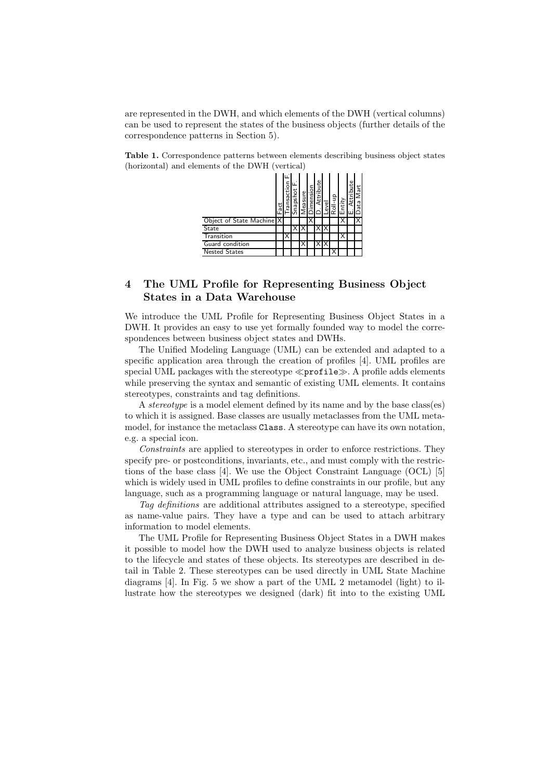are represented in the DWH, and which elements of the DWH (vertical columns) can be used to represent the states of the business objects (further details of the correspondence patterns in Section 5).

Table 1. Correspondence patterns between elements describing business object states (horizontal) and elements of the DWH (vertical)



# 4 The UML Profile for Representing Business Object States in a Data Warehouse

We introduce the UML Profile for Representing Business Object States in a DWH. It provides an easy to use yet formally founded way to model the correspondences between business object states and DWHs.

The Unified Modeling Language (UML) can be extended and adapted to a specific application area through the creation of profiles [4]. UML profiles are special UML packages with the stereotype  $\ll$ profile $\gg$ . A profile adds elements while preserving the syntax and semantic of existing UML elements. It contains stereotypes, constraints and tag definitions.

A stereotype is a model element defined by its name and by the base class(es) to which it is assigned. Base classes are usually metaclasses from the UML metamodel, for instance the metaclass Class. A stereotype can have its own notation, e.g. a special icon.

Constraints are applied to stereotypes in order to enforce restrictions. They specify pre- or postconditions, invariants, etc., and must comply with the restrictions of the base class [4]. We use the Object Constraint Language (OCL) [5] which is widely used in UML profiles to define constraints in our profile, but any language, such as a programming language or natural language, may be used.

Tag definitions are additional attributes assigned to a stereotype, specified as name-value pairs. They have a type and can be used to attach arbitrary information to model elements.

The UML Profile for Representing Business Object States in a DWH makes it possible to model how the DWH used to analyze business objects is related to the lifecycle and states of these objects. Its stereotypes are described in detail in Table 2. These stereotypes can be used directly in UML State Machine diagrams [4]. In Fig. 5 we show a part of the UML 2 metamodel (light) to illustrate how the stereotypes we designed (dark) fit into to the existing UML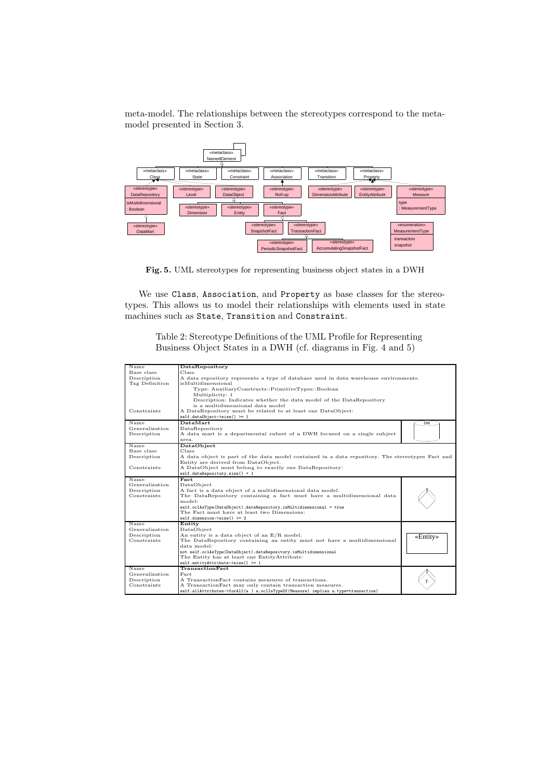meta-model. The relationships between the stereotypes correspond to the metamodel presented in Section 3.



Fig. 5. UML stereotypes for representing business object states in a DWH

We use Class, Association, and Property as base classes for the stereotypes. This allows us to model their relationships with elements used in state machines such as State, Transition and Constraint.

Table 2: Stereotype Definitions of the UML Profile for Representing Business Object States in a DWH (cf. diagrams in Fig. 4 and 5)

| Name           | DataRepository                                                                                   |           |  |
|----------------|--------------------------------------------------------------------------------------------------|-----------|--|
| Base class     | Class                                                                                            |           |  |
| Description    | A data repository represents a type of database used in data warehouse environments.             |           |  |
| Tag Definition | isMultidimensional                                                                               |           |  |
|                | Type: AuxiliaryConstructs::PrimitiveTypes::Boolean                                               |           |  |
|                | Multiplicity: 1                                                                                  |           |  |
|                | Description: Indicates whether the data model of the DataRepository                              |           |  |
|                | is a multidimensional data model                                                                 |           |  |
| Constraints    | A DataRepository must be related to at least one DataObject:                                     |           |  |
|                | $self.dataObject-> size() =& 1$                                                                  |           |  |
| Name           | DataMart                                                                                         | <b>DM</b> |  |
| Generalization | DataRepository                                                                                   |           |  |
| Description    | A data mart is a departmental subset of a DWH focused on a single subject                        |           |  |
|                | area.                                                                                            |           |  |
| Name           | <b>DataObject</b>                                                                                |           |  |
| Base class     | Class                                                                                            |           |  |
| Description    | A data object is part of the data model contained in a data repository. The stereotypes Fact and |           |  |
|                | Entity are derived from DataObject.                                                              |           |  |
| Constraints    | A DataObject must belong to exactly one DataRepository:                                          |           |  |
|                | $self.dataRepository.size() = 1$                                                                 |           |  |
| Name           | Fact                                                                                             |           |  |
| Generalization | DataObject                                                                                       |           |  |
| Description    | A fact is a data object of a multidimensional data model.                                        |           |  |
| Constraints    | The DataRepository containing a fact must have a multidimensional data                           |           |  |
|                | model:                                                                                           |           |  |
|                | self.oclAsType(DataObject).dataRepository.isMultidimensional = true                              |           |  |
|                | The Fact must have at least two Dimensions:                                                      |           |  |
|                | self.dimension->size() >= 2                                                                      |           |  |
| Name           | Entity                                                                                           |           |  |
| Generalization | DataObject                                                                                       |           |  |
| Description    | An entity is a data object of an E/R model.                                                      | «Entity»  |  |
| Constraints    | The DataRepository containing an entity must not have a multidimensional                         |           |  |
|                | data model:                                                                                      |           |  |
|                | not self.oclAsType(DataObject).dataRepository.isMultidimensional                                 |           |  |
|                | The Entity has at least one EntityAttribute:                                                     |           |  |
|                | self.entityAttribute->size() >= 1                                                                |           |  |
| Name           | <b>TransactionFact</b>                                                                           |           |  |
| Generalization | Fact                                                                                             |           |  |
| Description    | A TransactionFact contains measures of transactions.                                             |           |  |
| Constraints    | A TransactionFact may only contain transaction measures.                                         |           |  |
|                | self.allAttributes->forAll(a   a.oclIsTypeOf(Measure) implies a.type=transaction)                |           |  |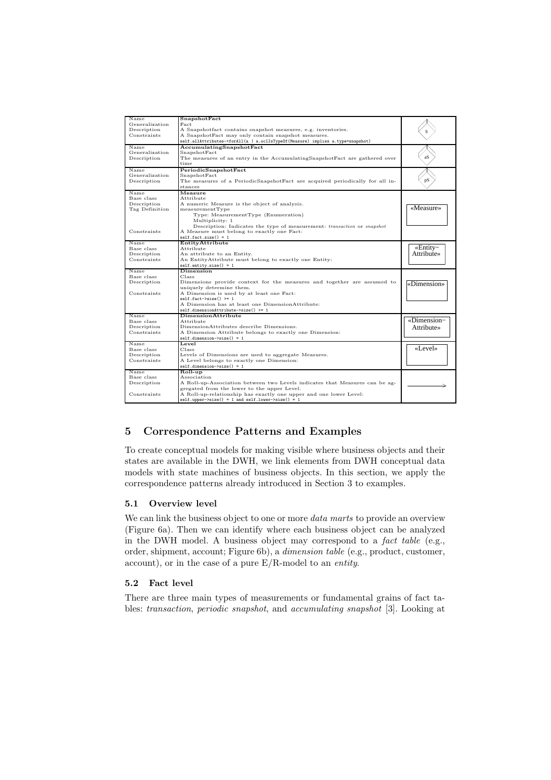| Name           | SnapshotFact                                                                   |             |
|----------------|--------------------------------------------------------------------------------|-------------|
| Generalization | Fact                                                                           |             |
| Description    | A Snapshotfact contains snapshot measures, e.g. inventories.                   |             |
| Constraints    | A SnapshotFact may only contain snapshot measures.                             |             |
|                | self.allAttributes->forAll(a   a.oclIsTypeOf(Measure) implies a.type=snapshot) |             |
| Name           | AccumulatingSnapshotFact                                                       |             |
| Generalization | SnapshotFact                                                                   |             |
| Description    | The measures of an entry in the AccumulatingSnapshotFact are gathered over     | aS          |
|                | time                                                                           |             |
| Name           | PeriodicSnapshotFact                                                           |             |
| Generalization | SnapshotFact                                                                   |             |
| Description    | The measures of a PeriodicSnapshotFact are acquired periodically for all in-   | pS          |
|                | stances                                                                        |             |
| Name           | Measure                                                                        |             |
| Base class     | Attribute                                                                      |             |
| Description    | A numeric Measure is the object of analysis.                                   |             |
| Tag Definition | measurementType                                                                | «Measure»   |
|                | Type: MeasurementType (Enumeration)                                            |             |
|                | Multiplicity: 1                                                                |             |
|                | Description: Indicates the type of measurement: transaction or snapshot        |             |
| Constraints    | A Measure must belong to exactly one Fact:                                     |             |
|                | $self.fact.size() = 1$                                                         |             |
| Name           | EntityAttribute                                                                |             |
| Base class     | Attribute                                                                      | «Entity-    |
| Description    | An attribute to an Entity.                                                     | Attribute»  |
| Constraints    | An EntityAttribute must belong to exactly one Entity:                          |             |
|                | $self.$ entity.size $() = 1$                                                   |             |
| Name           | Dimension                                                                      |             |
| Base class     | Class                                                                          |             |
| Description    | Dimensions provide context for the measures and together are assumed to        | «Dimension» |
|                | uniquely determine them.                                                       |             |
| Constraints    | A Dimension is used by at least one Fact:                                      |             |
|                | $self.fact-> size() =& 1$                                                      |             |
|                | A Dimension has at least one DimensionAttribute:                               |             |
|                | self.dimensionAttribute->size() >= 1                                           |             |
| Name           | DimensionAttribute                                                             |             |
| Base class     | Attribute                                                                      | «Dimension- |
| Description    | DimensionAttributes describe Dimensions.                                       | Attribute»  |
| Constraints    | A Dimension Attribute belongs to exactly one Dimension:                        |             |
|                | $self.dimension\text{-}size() = 1$                                             |             |
| Name           | Level                                                                          |             |
| Base class     | Class                                                                          | «Level»     |
| Description    | Levels of Dimensions are used to aggregate Measures.                           |             |
| Constraints    | A Level belongs to exactly one Dimension:                                      |             |
|                | $self.dimension\text{-}size() = 1$                                             |             |
| Name           | Roll-up                                                                        |             |
| Base class     | Association                                                                    |             |
| Description    | A Roll-up-Association between two Levels indicates that Measures can be ag-    |             |
|                | gregated from the lower to the upper Level.                                    |             |
| Constraints    | A Roll-up-relationship has exactly one upper and one lower Level:              |             |
|                | $self.upper-> size() = 1 and self.lower-> size() = 1$                          |             |
|                |                                                                                |             |

# 5 Correspondence Patterns and Examples

To create conceptual models for making visible where business objects and their states are available in the DWH, we link elements from DWH conceptual data models with state machines of business objects. In this section, we apply the correspondence patterns already introduced in Section 3 to examples.

# 5.1 Overview level

We can link the business object to one or more *data marts* to provide an overview (Figure 6a). Then we can identify where each business object can be analyzed in the DWH model. A business object may correspond to a fact table (e.g., order, shipment, account; Figure 6b), a dimension table (e.g., product, customer, account), or in the case of a pure E/R-model to an entity.

### 5.2 Fact level

There are three main types of measurements or fundamental grains of fact tables: transaction, periodic snapshot, and accumulating snapshot [3]. Looking at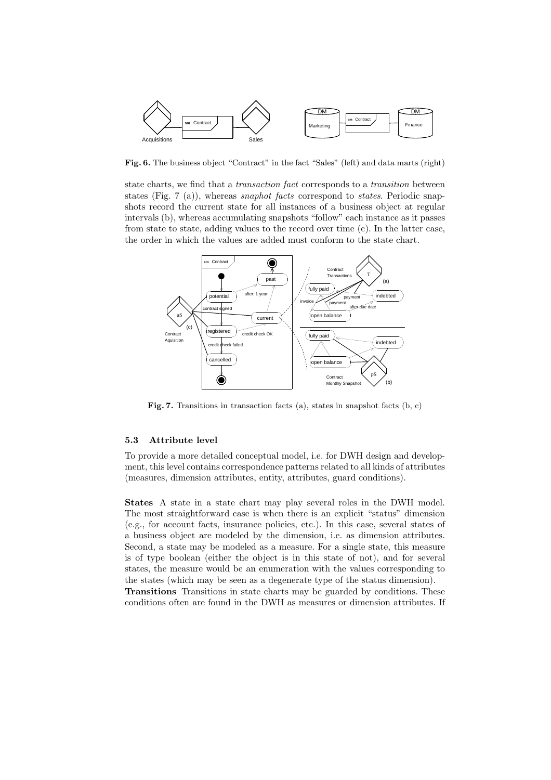

Fig. 6. The business object "Contract" in the fact "Sales" (left) and data marts (right)

state charts, we find that a transaction fact corresponds to a transition between states (Fig. 7 (a)), whereas *snaphot facts* correspond to *states*. Periodic snapshots record the current state for all instances of a business object at regular intervals (b), whereas accumulating snapshots "follow" each instance as it passes from state to state, adding values to the record over time (c). In the latter case, the order in which the values are added must conform to the state chart.



Fig. 7. Transitions in transaction facts (a), states in snapshot facts  $(b, c)$ 

### 5.3 Attribute level

To provide a more detailed conceptual model, i.e. for DWH design and development, this level contains correspondence patterns related to all kinds of attributes (measures, dimension attributes, entity, attributes, guard conditions).

States A state in a state chart may play several roles in the DWH model. The most straightforward case is when there is an explicit "status" dimension (e.g., for account facts, insurance policies, etc.). In this case, several states of a business object are modeled by the dimension, i.e. as dimension attributes. Second, a state may be modeled as a measure. For a single state, this measure is of type boolean (either the object is in this state of not), and for several states, the measure would be an enumeration with the values corresponding to the states (which may be seen as a degenerate type of the status dimension).

Transitions Transitions in state charts may be guarded by conditions. These conditions often are found in the DWH as measures or dimension attributes. If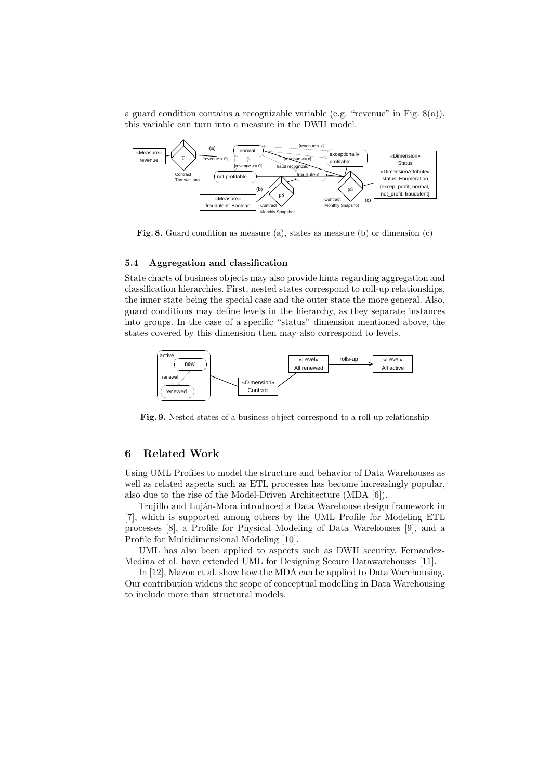a guard condition contains a recognizable variable (e.g. "revenue" in Fig.  $8(a)$ ), this variable can turn into a measure in the DWH model.



Fig. 8. Guard condition as measure (a), states as measure (b) or dimension (c)

### 5.4 Aggregation and classification

State charts of business objects may also provide hints regarding aggregation and classification hierarchies. First, nested states correspond to roll-up relationships, the inner state being the special case and the outer state the more general. Also, guard conditions may define levels in the hierarchy, as they separate instances into groups. In the case of a specific "status" dimension mentioned above, the states covered by this dimension then may also correspond to levels.



Fig. 9. Nested states of a business object correspond to a roll-up relationship

# 6 Related Work

Using UML Profiles to model the structure and behavior of Data Warehouses as well as related aspects such as ETL processes has become increasingly popular, also due to the rise of the Model-Driven Architecture (MDA [6]).

Trujillo and Luján-Mora introduced a Data Warehouse design framework in [7], which is supported among others by the UML Profile for Modeling ETL processes [8], a Profile for Physical Modeling of Data Warehouses [9], and a Profile for Multidimensional Modeling [10].

UML has also been applied to aspects such as DWH security. Fernandez-Medina et al. have extended UML for Designing Secure Datawarehouses [11].

In [12], Mazon et al. show how the MDA can be applied to Data Warehousing. Our contribution widens the scope of conceptual modelling in Data Warehousing to include more than structural models.